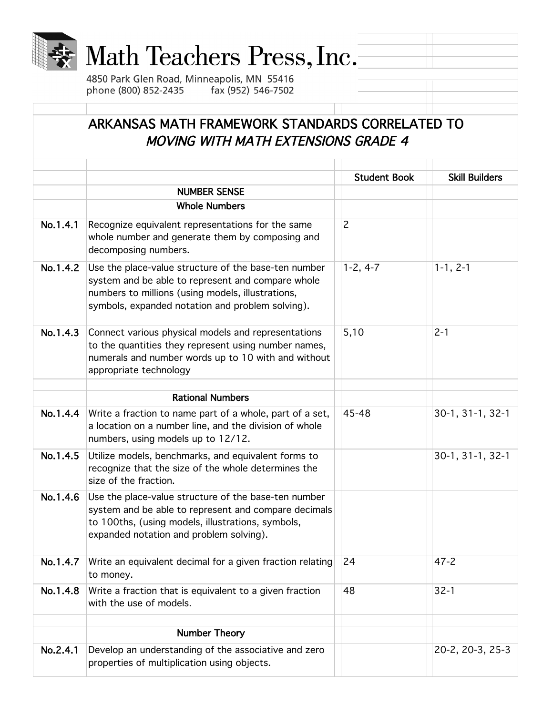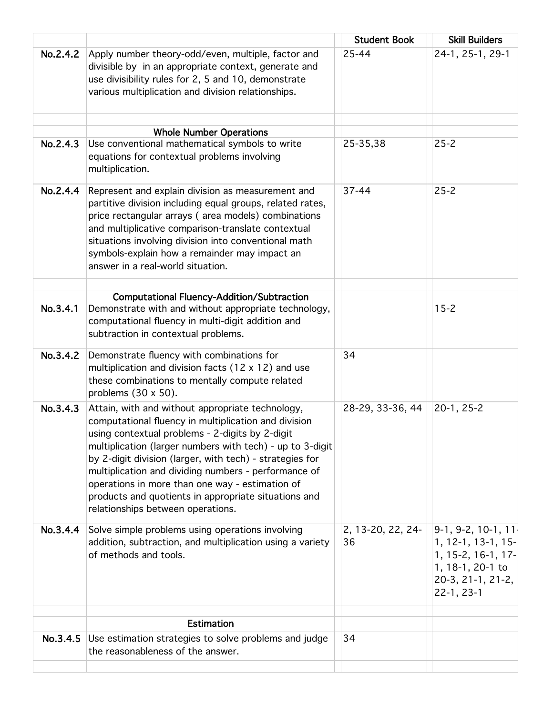|          |                                                                                                                                                                                                                                                                                                                                                                                                                                                                                              | <b>Student Book</b>     | <b>Skill Builders</b>                                                                                                     |
|----------|----------------------------------------------------------------------------------------------------------------------------------------------------------------------------------------------------------------------------------------------------------------------------------------------------------------------------------------------------------------------------------------------------------------------------------------------------------------------------------------------|-------------------------|---------------------------------------------------------------------------------------------------------------------------|
| No.2.4.2 | Apply number theory-odd/even, multiple, factor and<br>divisible by in an appropriate context, generate and<br>use divisibility rules for 2, 5 and 10, demonstrate<br>various multiplication and division relationships.                                                                                                                                                                                                                                                                      | 25-44                   | 24-1, 25-1, 29-1                                                                                                          |
|          | <b>Whole Number Operations</b>                                                                                                                                                                                                                                                                                                                                                                                                                                                               |                         |                                                                                                                           |
| No.2.4.3 | Use conventional mathematical symbols to write<br>equations for contextual problems involving<br>multiplication.                                                                                                                                                                                                                                                                                                                                                                             | 25-35,38                | $25 - 2$                                                                                                                  |
| No.2.4.4 | Represent and explain division as measurement and<br>partitive division including equal groups, related rates,<br>price rectangular arrays (area models) combinations<br>and multiplicative comparison-translate contextual<br>situations involving division into conventional math<br>symbols-explain how a remainder may impact an<br>answer in a real-world situation.                                                                                                                    | 37-44                   | $25 - 2$                                                                                                                  |
|          | <b>Computational Fluency-Addition/Subtraction</b>                                                                                                                                                                                                                                                                                                                                                                                                                                            |                         |                                                                                                                           |
| No.3.4.1 | Demonstrate with and without appropriate technology,<br>computational fluency in multi-digit addition and<br>subtraction in contextual problems.                                                                                                                                                                                                                                                                                                                                             |                         | $15 - 2$                                                                                                                  |
| No.3.4.2 | Demonstrate fluency with combinations for<br>multiplication and division facts $(12 \times 12)$ and use<br>these combinations to mentally compute related<br>problems $(30 \times 50)$ .                                                                                                                                                                                                                                                                                                     | 34                      |                                                                                                                           |
| No.3.4.3 | Attain, with and without appropriate technology,<br>computational fluency in multiplication and division<br>using contextual problems - 2-digits by 2-digit<br>multiplication (larger numbers with tech) - up to 3-digit<br>by 2-digit division (larger, with tech) - strategies for<br>multiplication and dividing numbers - performance of<br>operations in more than one way - estimation of<br>products and quotients in appropriate situations and<br>relationships between operations. | 28-29, 33-36, 44        | $20-1, 25-2$                                                                                                              |
| No.3.4.4 | Solve simple problems using operations involving<br>addition, subtraction, and multiplication using a variety<br>of methods and tools.                                                                                                                                                                                                                                                                                                                                                       | 2, 13-20, 22, 24-<br>36 | $9-1, 9-2, 10-1, 11$<br>1, 12-1, 13-1, 15-<br>1, 15-2, 16-1, 17-<br>1, 18-1, 20-1 to<br>20-3, 21-1, 21-2,<br>$22-1, 23-1$ |
|          | <b>Estimation</b>                                                                                                                                                                                                                                                                                                                                                                                                                                                                            |                         |                                                                                                                           |
| No.3.4.5 | Use estimation strategies to solve problems and judge<br>the reasonableness of the answer.                                                                                                                                                                                                                                                                                                                                                                                                   | 34                      |                                                                                                                           |
|          |                                                                                                                                                                                                                                                                                                                                                                                                                                                                                              |                         |                                                                                                                           |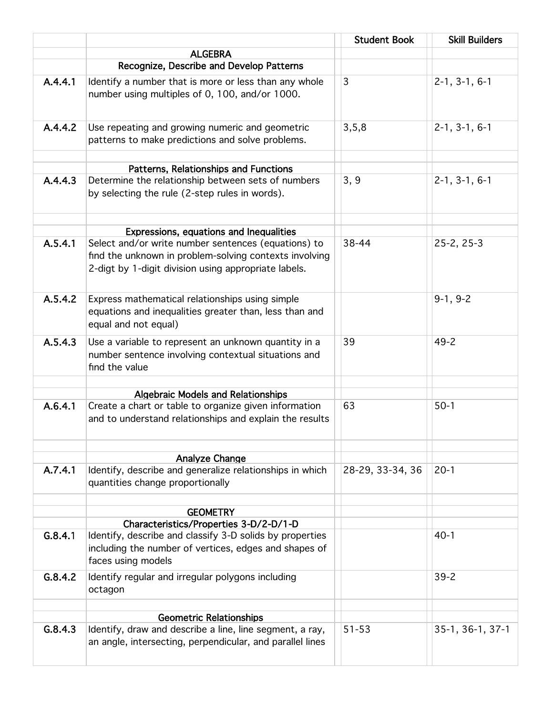|         |                                                                                                                                                                       | <b>Student Book</b> | <b>Skill Builders</b> |
|---------|-----------------------------------------------------------------------------------------------------------------------------------------------------------------------|---------------------|-----------------------|
|         | <b>ALGEBRA</b>                                                                                                                                                        |                     |                       |
|         | Recognize, Describe and Develop Patterns                                                                                                                              |                     |                       |
| A.4.4.1 | Identify a number that is more or less than any whole<br>number using multiples of 0, 100, and/or 1000.                                                               | 3                   | $2-1, 3-1, 6-1$       |
| A.4.4.2 | Use repeating and growing numeric and geometric<br>patterns to make predictions and solve problems.                                                                   | 3, 5, 8             | $2-1, 3-1, 6-1$       |
|         | Patterns, Relationships and Functions                                                                                                                                 |                     |                       |
| A.4.4.3 | Determine the relationship between sets of numbers<br>by selecting the rule (2-step rules in words).                                                                  | 3, 9                | $2-1, 3-1, 6-1$       |
|         | Expressions, equations and Inequalities                                                                                                                               |                     |                       |
| A.5.4.1 | Select and/or write number sentences (equations) to<br>find the unknown in problem-solving contexts involving<br>2-digt by 1-digit division using appropriate labels. | 38-44               | $25-2, 25-3$          |
| A.5.4.2 | Express mathematical relationships using simple<br>equations and inequalities greater than, less than and<br>equal and not equal)                                     |                     | $9-1, 9-2$            |
| A.5.4.3 | Use a variable to represent an unknown quantity in a<br>number sentence involving contextual situations and<br>find the value                                         | 39                  | $49 - 2$              |
|         |                                                                                                                                                                       |                     |                       |
| A.6.4.1 | <b>Algebraic Models and Relationships</b><br>Create a chart or table to organize given information<br>and to understand relationships and explain the results         | 63                  | $50-1$                |
|         |                                                                                                                                                                       |                     |                       |
| A.7.4.1 | Analyze Change<br>Identify, describe and generalize relationships in which<br>quantities change proportionally                                                        | 28-29, 33-34, 36    | $20-1$                |
|         | <b>GEOMETRY</b>                                                                                                                                                       |                     |                       |
|         | Characteristics/Properties 3-D/2-D/1-D                                                                                                                                |                     |                       |
| G.8.4.1 | Identify, describe and classify 3-D solids by properties<br>including the number of vertices, edges and shapes of<br>faces using models                               |                     | $40-1$                |
| G.8.4.2 | Identify regular and irregular polygons including<br>octagon                                                                                                          |                     | $39 - 2$              |
|         | <b>Geometric Relationships</b>                                                                                                                                        |                     |                       |
| G.8.4.3 | Identify, draw and describe a line, line segment, a ray,<br>an angle, intersecting, perpendicular, and parallel lines                                                 | $51 - 53$           | 35-1, 36-1, 37-1      |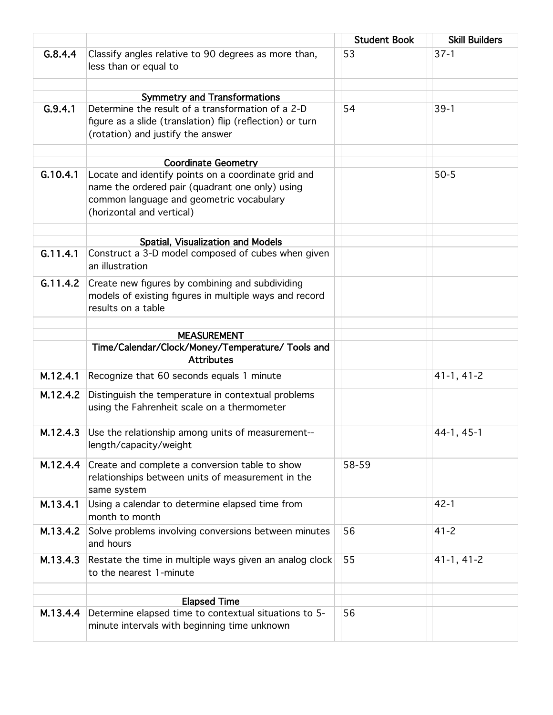|          |                                                                                                                                                                                 | <b>Student Book</b> | <b>Skill Builders</b> |
|----------|---------------------------------------------------------------------------------------------------------------------------------------------------------------------------------|---------------------|-----------------------|
| G.8.4.4  | Classify angles relative to 90 degrees as more than,<br>less than or equal to                                                                                                   | 53                  | $37-1$                |
|          |                                                                                                                                                                                 |                     |                       |
| G.9.4.1  | <b>Symmetry and Transformations</b><br>Determine the result of a transformation of a 2-D                                                                                        | 54                  | $39-1$                |
|          | figure as a slide (translation) flip (reflection) or turn<br>(rotation) and justify the answer                                                                                  |                     |                       |
|          | <b>Coordinate Geometry</b>                                                                                                                                                      |                     |                       |
| G.10.4.1 | Locate and identify points on a coordinate grid and<br>name the ordered pair (quadrant one only) using<br>common language and geometric vocabulary<br>(horizontal and vertical) |                     | $50 - 5$              |
|          | Spatial, Visualization and Models                                                                                                                                               |                     |                       |
| G.11.4.1 | Construct a 3-D model composed of cubes when given<br>an illustration                                                                                                           |                     |                       |
| G.11.4.2 | Create new figures by combining and subdividing<br>models of existing figures in multiple ways and record<br>results on a table                                                 |                     |                       |
|          | <b>MEASUREMENT</b>                                                                                                                                                              |                     |                       |
|          | Time/Calendar/Clock/Money/Temperature/ Tools and                                                                                                                                |                     |                       |
|          | <b>Attributes</b>                                                                                                                                                               |                     |                       |
| M.12.4.1 | Recognize that 60 seconds equals 1 minute                                                                                                                                       |                     | $41-1, 41-2$          |
| M.12.4.2 | Distinguish the temperature in contextual problems<br>using the Fahrenheit scale on a thermometer                                                                               |                     |                       |
| M.12.4.3 | Use the relationship among units of measurement--<br>length/capacity/weight                                                                                                     |                     | $44-1, 45-1$          |
| M.12.4.4 | Create and complete a conversion table to show<br>relationships between units of measurement in the<br>same system                                                              | 58-59               |                       |
| M.13.4.1 | Using a calendar to determine elapsed time from<br>month to month                                                                                                               |                     | $42 - 1$              |
| M.13.4.2 | Solve problems involving conversions between minutes<br>and hours                                                                                                               | 56                  | $41 - 2$              |
| M.13.4.3 | Restate the time in multiple ways given an analog clock<br>to the nearest 1-minute                                                                                              | 55                  | $41-1, 41-2$          |
|          |                                                                                                                                                                                 |                     |                       |
| M.13.4.4 | <b>Elapsed Time</b><br>Determine elapsed time to contextual situations to 5-                                                                                                    | 56                  |                       |
|          | minute intervals with beginning time unknown                                                                                                                                    |                     |                       |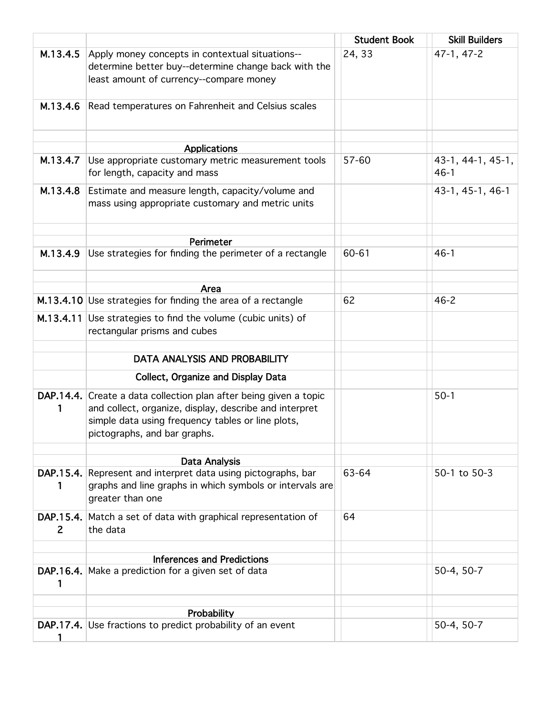|                          |                                                                                                                                                                                                                  | <b>Student Book</b> | <b>Skill Builders</b>       |
|--------------------------|------------------------------------------------------------------------------------------------------------------------------------------------------------------------------------------------------------------|---------------------|-----------------------------|
| M.13.4.5                 | Apply money concepts in contextual situations--<br>determine better buy--determine change back with the<br>least amount of currency--compare money                                                               | 24, 33              | 47-1, 47-2                  |
| M.13.4.6                 | Read temperatures on Fahrenheit and Celsius scales                                                                                                                                                               |                     |                             |
|                          | <b>Applications</b>                                                                                                                                                                                              |                     |                             |
| M.13.4.7                 | Use appropriate customary metric measurement tools<br>for length, capacity and mass                                                                                                                              | 57-60               | 43-1, 44-1, 45-1,<br>$46-1$ |
| M.13.4.8                 | Estimate and measure length, capacity/volume and<br>mass using appropriate customary and metric units                                                                                                            |                     | 43-1, 45-1, 46-1            |
|                          | Perimeter                                                                                                                                                                                                        |                     |                             |
| M.13.4.9                 | Use strategies for finding the perimeter of a rectangle                                                                                                                                                          | 60-61               | $46 - 1$                    |
|                          | Area                                                                                                                                                                                                             |                     |                             |
|                          | M.13.4.10 Use strategies for finding the area of a rectangle                                                                                                                                                     | 62                  | $46 - 2$                    |
|                          | M.13.4.11 Use strategies to find the volume (cubic units) of<br>rectangular prisms and cubes                                                                                                                     |                     |                             |
|                          | DATA ANALYSIS AND PROBABILITY                                                                                                                                                                                    |                     |                             |
|                          |                                                                                                                                                                                                                  |                     |                             |
|                          | <b>Collect, Organize and Display Data</b>                                                                                                                                                                        |                     |                             |
| 1                        | DAP.14.4. Create a data collection plan after being given a topic<br>and collect, organize, display, describe and interpret<br>simple data using frequency tables or line plots,<br>pictographs, and bar graphs. |                     | $50-1$                      |
|                          | Data Analysis                                                                                                                                                                                                    |                     |                             |
|                          | DAP.15.4. Represent and interpret data using pictographs, bar<br>graphs and line graphs in which symbols or intervals are<br>greater than one                                                                    | 63-64               | 50-1 to 50-3                |
| DAP.15.4.<br>$2^{\circ}$ | Match a set of data with graphical representation of<br>the data                                                                                                                                                 | 64                  |                             |
|                          | <b>Inferences and Predictions</b>                                                                                                                                                                                |                     |                             |
| 1                        | DAP.16.4. Make a prediction for a given set of data                                                                                                                                                              |                     | 50-4, 50-7                  |
|                          |                                                                                                                                                                                                                  |                     |                             |
|                          | Probability<br>DAP.17.4. Use fractions to predict probability of an event                                                                                                                                        |                     | 50-4, 50-7                  |
|                          |                                                                                                                                                                                                                  |                     |                             |